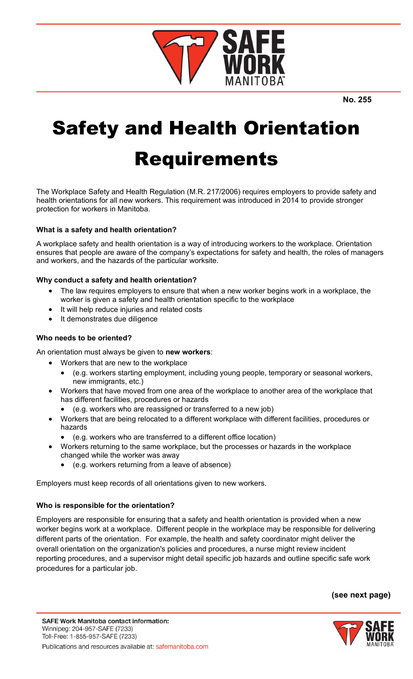

**No. 255**

# Safety and Health Orientation Requirements

The Workplace Safety and Health Regulation (M.R. 217/2006) requires employers to provide safety and health orientations for all new workers. This requirement was introduced in 2014 to provide stronger protection for workers in Manitoba.

# **What is a safety and health orientation?**

A workplace safety and health orientation is a way of introducing workers to the workplace. Orientation ensures that people are aware of the company's expectations for safety and health, the roles of managers and workers, and the hazards of the particular worksite.

# **Why conduct a safety and health orientation?**

- The law requires employers to ensure that when a new worker begins work in a workplace, the worker is given a safety and health orientation specific to the workplace
- It will help reduce injuries and related costs
- It demonstrates due diligence

# **Who needs to be oriented?**

An orientation must always be given to **new workers**:

- Workers that are new to the workplace
	- (e.g. workers starting employment, including young people, temporary or seasonal workers, new immigrants, etc.)
- Workers that have moved from one area of the workplace to another area of the workplace that has different facilities, procedures or hazards
	- (e.g. workers who are reassigned or transferred to a new job)
- Workers that are being relocated to a different workplace with different facilities, procedures or hazards
	- (e.g. workers who are transferred to a different office location)
- Workers returning to the same workplace, but the processes or hazards in the workplace changed while the worker was away
	- (e.g. workers returning from a leave of absence)

Employers must keep records of all orientations given to new workers.

# **Who is responsible for the orientation?**

Employers are responsible for ensuring that a safety and health orientation is provided when a new worker begins work at a workplace. Different people in the workplace may be responsible for delivering different parts of the orientation. For example, the health and safety coordinator might deliver the overall orientation on the organization's policies and procedures, a nurse might review incident reporting procedures, and a supervisor might detail specific job hazards and outline specific safe work procedures for a particular job.

**(see next page)**